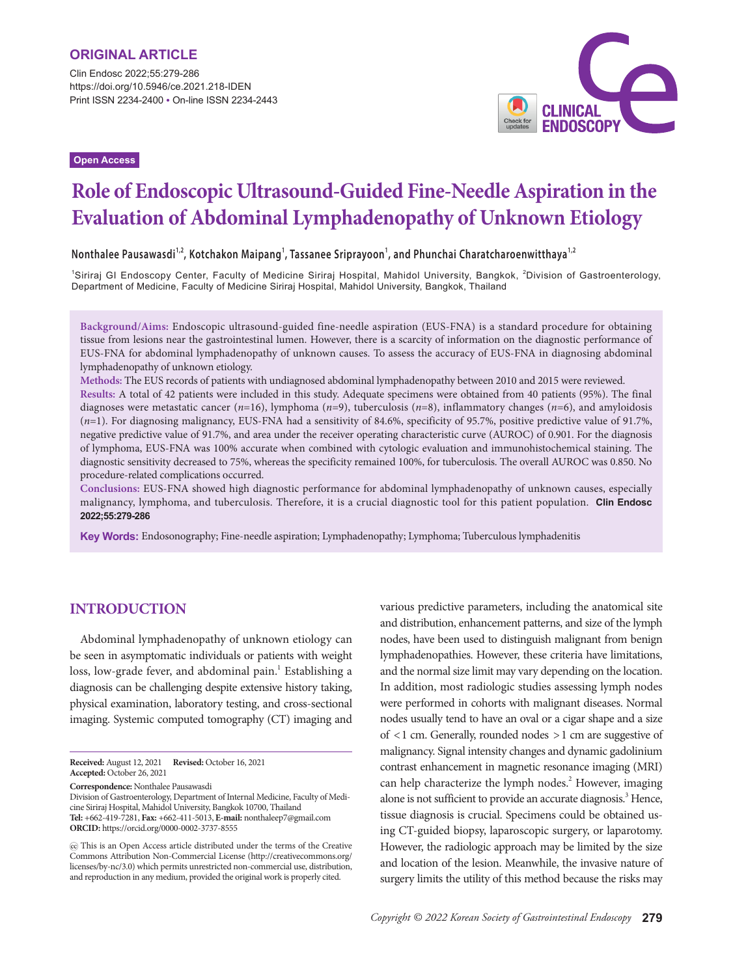Clin Endosc 2022;55:279-286 https://doi.org/10.5946/ce.2021.218-IDEN Print ISSN 2234-2400 • On-line ISSN 2234-2443

**Open Access**



# **Role of Endoscopic Ultrasound-Guided Fine-Needle Aspiration in the Evaluation of Abdominal Lymphadenopathy of Unknown Etiology**

**Nonthalee Pausawasdi1,2, Kotchakon Maipang1 , Tassanee Sriprayoon<sup>1</sup> , and Phunchai Charatcharoenwitthaya1,2**

<sup>1</sup>Siriraj GI Endoscopy Center, Faculty of Medicine Siriraj Hospital, Mahidol University, Bangkok, <sup>2</sup>Division of Gastroenterology, Department of Medicine, Faculty of Medicine Siriraj Hospital, Mahidol University, Bangkok, Thailand

**Background/Aims:** Endoscopic ultrasound-guided fine-needle aspiration (EUS-FNA) is a standard procedure for obtaining tissue from lesions near the gastrointestinal lumen. However, there is a scarcity of information on the diagnostic performance of EUS-FNA for abdominal lymphadenopathy of unknown causes. To assess the accuracy of EUS-FNA in diagnosing abdominal lymphadenopathy of unknown etiology.

**Methods:** The EUS records of patients with undiagnosed abdominal lymphadenopathy between 2010 and 2015 were reviewed. **Results:** A total of 42 patients were included in this study. Adequate specimens were obtained from 40 patients (95%). The final diagnoses were metastatic cancer (*n*=16), lymphoma (*n*=9), tuberculosis (*n*=8), inflammatory changes (*n*=6), and amyloidosis ( $n=1$ ). For diagnosing malignancy, EUS-FNA had a sensitivity of 84.6%, specificity of 95.7%, positive predictive value of 91.7%, negative predictive value of 91.7%, and area under the receiver operating characteristic curve (AUROC) of 0.901. For the diagnosis of lymphoma, EUS-FNA was 100% accurate when combined with cytologic evaluation and immunohistochemical staining. The diagnostic sensitivity decreased to 75%, whereas the specificity remained 100%, for tuberculosis. The overall AUROC was 0.850. No procedure-related complications occurred.

**Conclusions:** EUS-FNA showed high diagnostic performance for abdominal lymphadenopathy of unknown causes, especially malignancy, lymphoma, and tuberculosis. Therefore, it is a crucial diagnostic tool for this patient population. **Clin Endosc 2022;55:279-286**

**Key Words:** Endosonography; Fine-needle aspiration; Lymphadenopathy; Lymphoma; Tuberculous lymphadenitis

## **INTRODUCTION**

Abdominal lymphadenopathy of unknown etiology can be seen in asymptomatic individuals or patients with weight loss, low-grade fever, and abdominal pain.<sup>1</sup> Establishing a diagnosis can be challenging despite extensive history taking, physical examination, laboratory testing, and cross-sectional imaging. Systemic computed tomography (CT) imaging and

**Correspondence:** Nonthalee Pausawasdi

Division of Gastroenterology, Department of Internal Medicine, Faculty of Medicine Siriraj Hospital, Mahidol University, Bangkok 10700, Thailand **Tel:** +662-419-7281, **Fax:** +662-411-5013, **E-mail:** nonthaleep7@gmail.com **ORCID:** https://orcid.org/0000-0002-3737-8555

 This is an Open Access article distributed under the terms of the Creative Commons Attribution Non-Commercial License (http://creativecommons.org/ licenses/by-nc/3.0) which permits unrestricted non-commercial use, distribution, and reproduction in any medium, provided the original work is properly cited.

various predictive parameters, including the anatomical site and distribution, enhancement patterns, and size of the lymph nodes, have been used to distinguish malignant from benign lymphadenopathies. However, these criteria have limitations, and the normal size limit may vary depending on the location. In addition, most radiologic studies assessing lymph nodes were performed in cohorts with malignant diseases. Normal nodes usually tend to have an oval or a cigar shape and a size of <1 cm. Generally, rounded nodes >1 cm are suggestive of malignancy. Signal intensity changes and dynamic gadolinium contrast enhancement in magnetic resonance imaging (MRI) can help characterize the lymph nodes.<sup>2</sup> However, imaging alone is not sufficient to provide an accurate diagnosis.<sup>3</sup> Hence, tissue diagnosis is crucial. Specimens could be obtained using CT-guided biopsy, laparoscopic surgery, or laparotomy. However, the radiologic approach may be limited by the size and location of the lesion. Meanwhile, the invasive nature of surgery limits the utility of this method because the risks may

**Received:** August 12, 2021 **Revised:** October 16, 2021 **Accepted:** October 26, 2021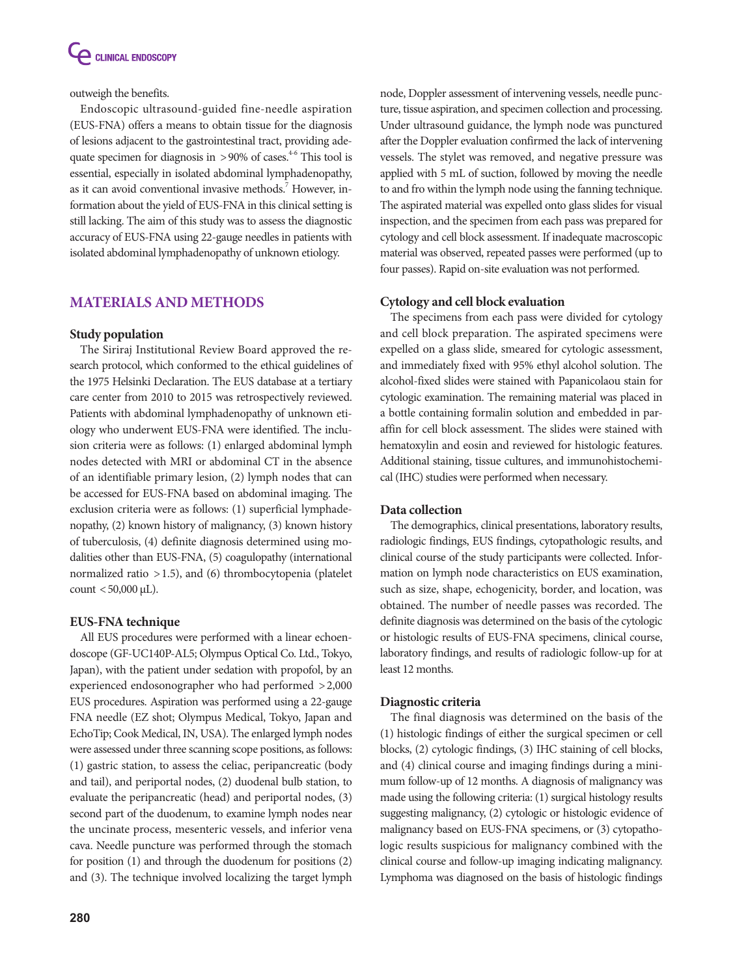

outweigh the benefits.

Endoscopic ultrasound-guided fine-needle aspiration (EUS-FNA) offers a means to obtain tissue for the diagnosis of lesions adjacent to the gastrointestinal tract, providing adequate specimen for diagnosis in  $>90\%$  of cases.<sup>4-6</sup> This tool is essential, especially in isolated abdominal lymphadenopathy, as it can avoid conventional invasive methods.<sup>7</sup> However, information about the yield of EUS-FNA in this clinical setting is still lacking. The aim of this study was to assess the diagnostic accuracy of EUS-FNA using 22-gauge needles in patients with isolated abdominal lymphadenopathy of unknown etiology.

# **MATERIALS AND METHODS**

## **Study population**

The Siriraj Institutional Review Board approved the research protocol, which conformed to the ethical guidelines of the 1975 Helsinki Declaration. The EUS database at a tertiary care center from 2010 to 2015 was retrospectively reviewed. Patients with abdominal lymphadenopathy of unknown etiology who underwent EUS-FNA were identified. The inclusion criteria were as follows: (1) enlarged abdominal lymph nodes detected with MRI or abdominal CT in the absence of an identifiable primary lesion, (2) lymph nodes that can be accessed for EUS-FNA based on abdominal imaging. The exclusion criteria were as follows: (1) superficial lymphadenopathy, (2) known history of malignancy, (3) known history of tuberculosis, (4) definite diagnosis determined using modalities other than EUS-FNA, (5) coagulopathy (international normalized ratio >1.5), and (6) thrombocytopenia (platelet count <50,000  $\mu$ L).

## **EUS-FNA technique**

All EUS procedures were performed with a linear echoendoscope (GF-UC140P-AL5; Olympus Optical Co. Ltd., Tokyo, Japan), with the patient under sedation with propofol, by an experienced endosonographer who had performed >2,000 EUS procedures. Aspiration was performed using a 22-gauge FNA needle (EZ shot; Olympus Medical, Tokyo, Japan and EchoTip; Cook Medical, IN, USA). The enlarged lymph nodes were assessed under three scanning scope positions, as follows: (1) gastric station, to assess the celiac, peripancreatic (body and tail), and periportal nodes, (2) duodenal bulb station, to evaluate the peripancreatic (head) and periportal nodes, (3) second part of the duodenum, to examine lymph nodes near the uncinate process, mesenteric vessels, and inferior vena cava. Needle puncture was performed through the stomach for position (1) and through the duodenum for positions (2) and (3). The technique involved localizing the target lymph

node, Doppler assessment of intervening vessels, needle puncture, tissue aspiration, and specimen collection and processing. Under ultrasound guidance, the lymph node was punctured after the Doppler evaluation confirmed the lack of intervening vessels. The stylet was removed, and negative pressure was applied with 5 mL of suction, followed by moving the needle to and fro within the lymph node using the fanning technique. The aspirated material was expelled onto glass slides for visual inspection, and the specimen from each pass was prepared for cytology and cell block assessment. If inadequate macroscopic material was observed, repeated passes were performed (up to four passes). Rapid on-site evaluation was not performed.

## **Cytology and cell block evaluation**

The specimens from each pass were divided for cytology and cell block preparation. The aspirated specimens were expelled on a glass slide, smeared for cytologic assessment, and immediately fixed with 95% ethyl alcohol solution. The alcohol-fixed slides were stained with Papanicolaou stain for cytologic examination. The remaining material was placed in a bottle containing formalin solution and embedded in paraffin for cell block assessment. The slides were stained with hematoxylin and eosin and reviewed for histologic features. Additional staining, tissue cultures, and immunohistochemical (IHC) studies were performed when necessary.

## **Data collection**

The demographics, clinical presentations, laboratory results, radiologic findings, EUS findings, cytopathologic results, and clinical course of the study participants were collected. Information on lymph node characteristics on EUS examination, such as size, shape, echogenicity, border, and location, was obtained. The number of needle passes was recorded. The definite diagnosis was determined on the basis of the cytologic or histologic results of EUS-FNA specimens, clinical course, laboratory findings, and results of radiologic follow-up for at least 12 months.

## **Diagnostic criteria**

The final diagnosis was determined on the basis of the (1) histologic findings of either the surgical specimen or cell blocks, (2) cytologic findings, (3) IHC staining of cell blocks, and (4) clinical course and imaging findings during a minimum follow-up of 12 months. A diagnosis of malignancy was made using the following criteria: (1) surgical histology results suggesting malignancy, (2) cytologic or histologic evidence of malignancy based on EUS-FNA specimens, or (3) cytopathologic results suspicious for malignancy combined with the clinical course and follow-up imaging indicating malignancy. Lymphoma was diagnosed on the basis of histologic findings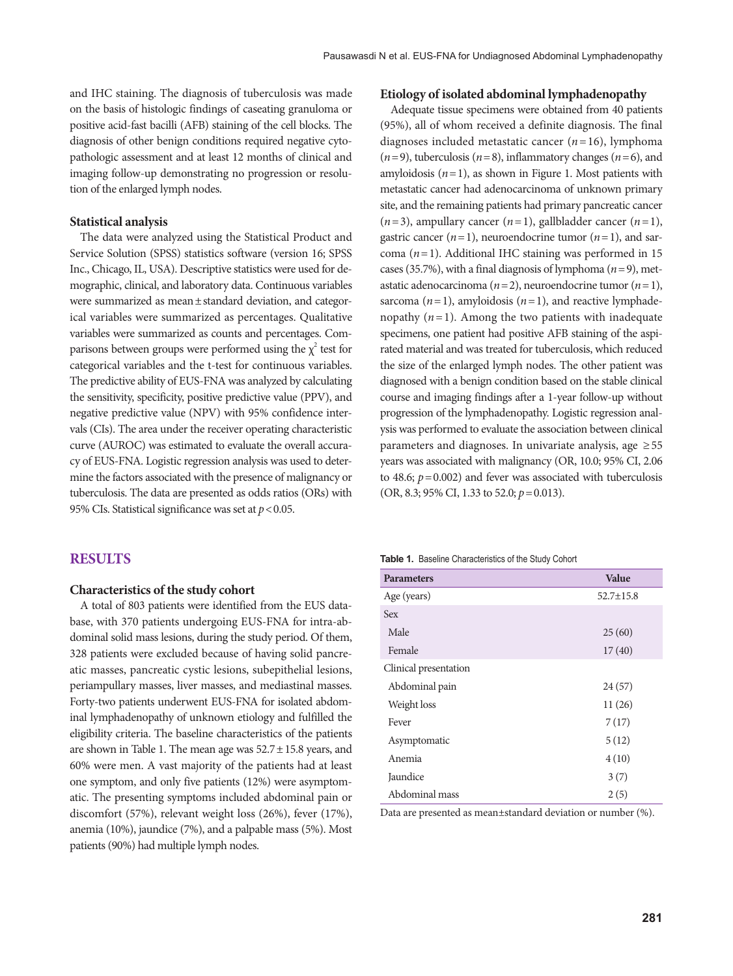and IHC staining. The diagnosis of tuberculosis was made on the basis of histologic findings of caseating granuloma or positive acid-fast bacilli (AFB) staining of the cell blocks. The diagnosis of other benign conditions required negative cytopathologic assessment and at least 12 months of clinical and imaging follow-up demonstrating no progression or resolution of the enlarged lymph nodes.

## **Statistical analysis**

The data were analyzed using the Statistical Product and Service Solution (SPSS) statistics software (version 16; SPSS Inc., Chicago, IL, USA). Descriptive statistics were used for demographic, clinical, and laboratory data. Continuous variables were summarized as mean±standard deviation, and categorical variables were summarized as percentages. Qualitative variables were summarized as counts and percentages. Comparisons between groups were performed using the  $\chi^2$  test for categorical variables and the t-test for continuous variables. The predictive ability of EUS-FNA was analyzed by calculating the sensitivity, specificity, positive predictive value (PPV), and negative predictive value (NPV) with 95% confidence intervals (CIs). The area under the receiver operating characteristic curve (AUROC) was estimated to evaluate the overall accuracy of EUS-FNA. Logistic regression analysis was used to determine the factors associated with the presence of malignancy or tuberculosis. The data are presented as odds ratios (ORs) with 95% CIs. Statistical significance was set at  $p < 0.05$ .

## **RESULTS**

## **Characteristics of the study cohort**

A total of 803 patients were identified from the EUS database, with 370 patients undergoing EUS-FNA for intra-abdominal solid mass lesions, during the study period. Of them, 328 patients were excluded because of having solid pancreatic masses, pancreatic cystic lesions, subepithelial lesions, periampullary masses, liver masses, and mediastinal masses. Forty-two patients underwent EUS-FNA for isolated abdominal lymphadenopathy of unknown etiology and fulfilled the eligibility criteria. The baseline characteristics of the patients are shown in Table 1. The mean age was  $52.7 \pm 15.8$  years, and 60% were men. A vast majority of the patients had at least one symptom, and only five patients (12%) were asymptomatic. The presenting symptoms included abdominal pain or discomfort (57%), relevant weight loss (26%), fever (17%), anemia (10%), jaundice (7%), and a palpable mass (5%). Most patients (90%) had multiple lymph nodes.

## **Etiology of isolated abdominal lymphadenopathy**

Adequate tissue specimens were obtained from 40 patients (95%), all of whom received a definite diagnosis. The final diagnoses included metastatic cancer (*n*=16), lymphoma  $(n=9)$ , tuberculosis  $(n=8)$ , inflammatory changes  $(n=6)$ , and amyloidosis  $(n=1)$ , as shown in Figure 1. Most patients with metastatic cancer had adenocarcinoma of unknown primary site, and the remaining patients had primary pancreatic cancer  $(n=3)$ , ampullary cancer  $(n=1)$ , gallbladder cancer  $(n=1)$ , gastric cancer  $(n=1)$ , neuroendocrine tumor  $(n=1)$ , and sarcoma (*n*=1). Additional IHC staining was performed in 15 cases (35.7%), with a final diagnosis of lymphoma ( $n=9$ ), metastatic adenocarcinoma  $(n=2)$ , neuroendocrine tumor  $(n=1)$ , sarcoma  $(n=1)$ , amyloidosis  $(n=1)$ , and reactive lymphadenopathy  $(n=1)$ . Among the two patients with inadequate specimens, one patient had positive AFB staining of the aspirated material and was treated for tuberculosis, which reduced the size of the enlarged lymph nodes. The other patient was diagnosed with a benign condition based on the stable clinical course and imaging findings after a 1-year follow-up without progression of the lymphadenopathy. Logistic regression analysis was performed to evaluate the association between clinical parameters and diagnoses. In univariate analysis, age  $\geq 55$ years was associated with malignancy (OR, 10.0; 95% CI, 2.06 to 48.6;  $p = 0.002$ ) and fever was associated with tuberculosis (OR, 8.3; 95% CI, 1.33 to 52.0; *p*=0.013).

#### **Table 1.** Baseline Characteristics of the Study Cohort

| <b>Parameters</b>     | <b>Value</b>    |
|-----------------------|-----------------|
| Age (years)           | $52.7 \pm 15.8$ |
| Sex                   |                 |
| Male                  | 25(60)          |
| Female                | 17(40)          |
| Clinical presentation |                 |
| Abdominal pain        | 24(57)          |
| Weight loss           | 11(26)          |
| Fever                 | 7(17)           |
| Asymptomatic          | 5(12)           |
| Anemia                | 4(10)           |
| Jaundice              | 3(7)            |
| Abdominal mass        | 2(5)            |

Data are presented as mean±standard deviation or number (%).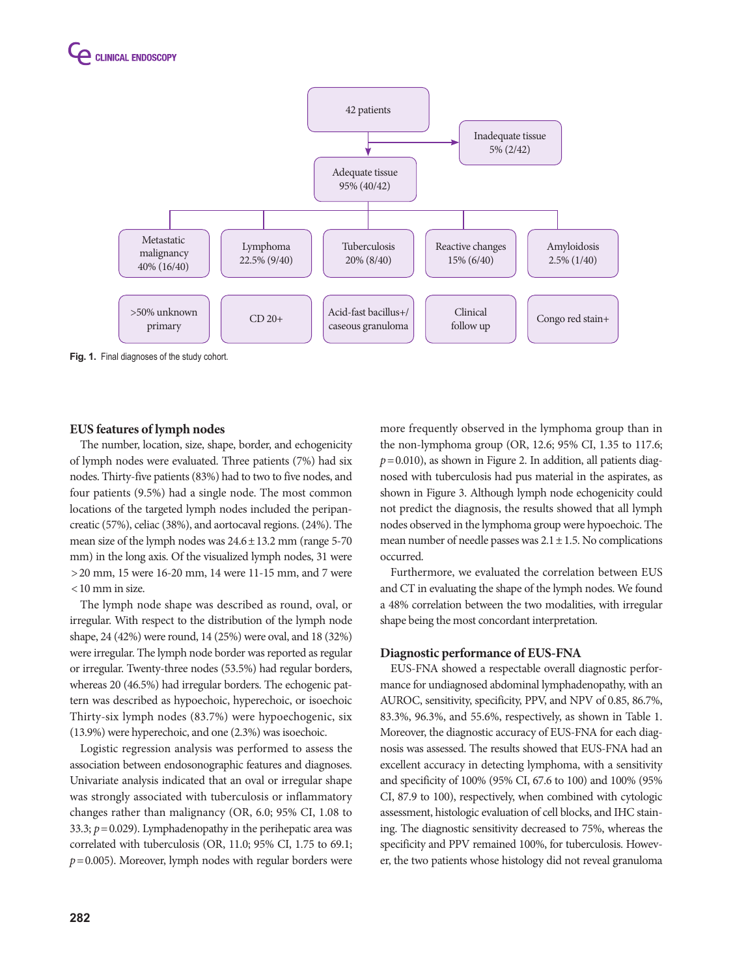

**EUS features of lymph nodes** The number, location, size, shape, border, and echogenicity of lymph nodes were evaluated. Three patients (7%) had six nodes. Thirty-five patients (83%) had to two to five nodes, and four patients (9.5%) had a single node. The most common locations of the targeted lymph nodes included the peripancreatic (57%), celiac (38%), and aortocaval regions. (24%). The mean size of the lymph nodes was  $24.6 \pm 13.2$  mm (range 5-70) mm) in the long axis. Of the visualized lymph nodes, 31 were >20 mm, 15 were 16-20 mm, 14 were 11-15 mm, and 7 were <10 mm in size.

The lymph node shape was described as round, oval, or irregular. With respect to the distribution of the lymph node shape, 24 (42%) were round, 14 (25%) were oval, and 18 (32%) were irregular. The lymph node border was reported as regular or irregular. Twenty-three nodes (53.5%) had regular borders, whereas 20 (46.5%) had irregular borders. The echogenic pattern was described as hypoechoic, hyperechoic, or isoechoic Thirty-six lymph nodes (83.7%) were hypoechogenic, six (13.9%) were hyperechoic, and one (2.3%) was isoechoic.

Logistic regression analysis was performed to assess the association between endosonographic features and diagnoses. Univariate analysis indicated that an oval or irregular shape was strongly associated with tuberculosis or inflammatory changes rather than malignancy (OR, 6.0; 95% CI, 1.08 to 33.3;  $p = 0.029$ ). Lymphadenopathy in the perihepatic area was correlated with tuberculosis (OR, 11.0; 95% CI, 1.75 to 69.1;  $p = 0.005$ ). Moreover, lymph nodes with regular borders were

more frequently observed in the lymphoma group than in the non-lymphoma group (OR, 12.6; 95% CI, 1.35 to 117.6;  $p=0.010$ ), as shown in Figure 2. In addition, all patients diagnosed with tuberculosis had pus material in the aspirates, as shown in Figure 3. Although lymph node echogenicity could not predict the diagnosis, the results showed that all lymph nodes observed in the lymphoma group were hypoechoic. The mean number of needle passes was  $2.1 \pm 1.5$ . No complications occurred.

Furthermore, we evaluated the correlation between EUS and CT in evaluating the shape of the lymph nodes. We found a 48% correlation between the two modalities, with irregular shape being the most concordant interpretation.

## **Diagnostic performance of EUS-FNA**

EUS-FNA showed a respectable overall diagnostic performance for undiagnosed abdominal lymphadenopathy, with an AUROC, sensitivity, specificity, PPV, and NPV of 0.85, 86.7%, 83.3%, 96.3%, and 55.6%, respectively, as shown in Table 1. Moreover, the diagnostic accuracy of EUS-FNA for each diagnosis was assessed. The results showed that EUS-FNA had an excellent accuracy in detecting lymphoma, with a sensitivity and specificity of 100% (95% CI, 67.6 to 100) and 100% (95% CI, 87.9 to 100), respectively, when combined with cytologic assessment, histologic evaluation of cell blocks, and IHC staining. The diagnostic sensitivity decreased to 75%, whereas the specificity and PPV remained 100%, for tuberculosis. However, the two patients whose histology did not reveal granuloma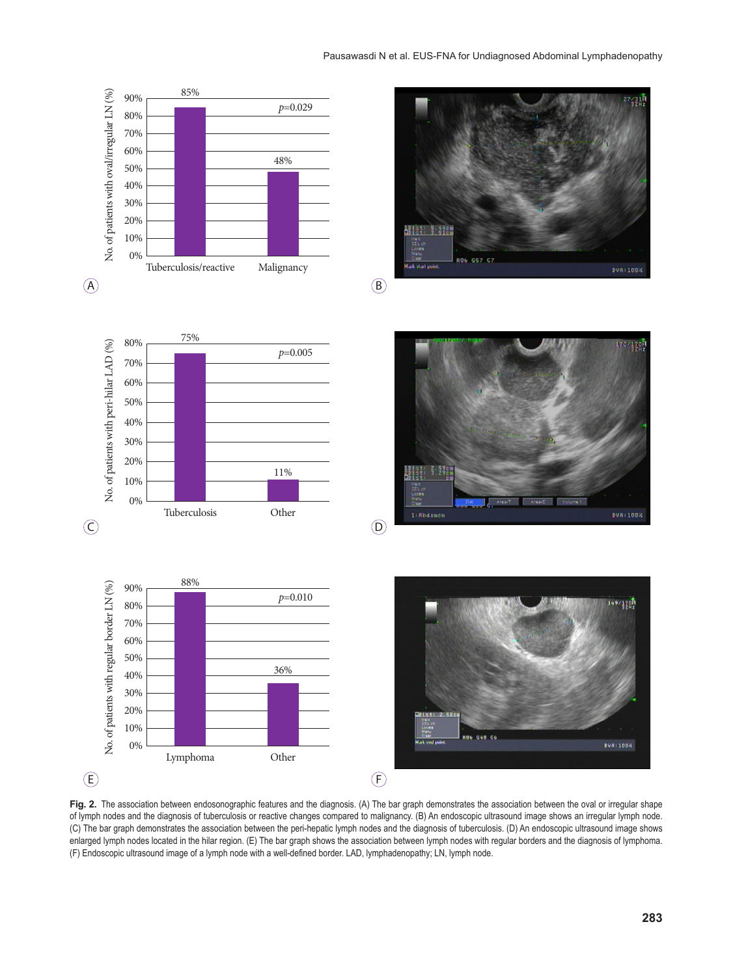

**Fig. 2.** The association between endosonographic features and the diagnosis. (A) The bar graph demonstrates the association between the oval or irregular shape of lymph nodes and the diagnosis of tuberculosis or reactive changes compared to malignancy. (B) An endoscopic ultrasound image shows an irregular lymph node. (C) The bar graph demonstrates the association between the peri-hepatic lymph nodes and the diagnosis of tuberculosis. (D) An endoscopic ultrasound image shows enlarged lymph nodes located in the hilar region. (E) The bar graph shows the association between lymph nodes with regular borders and the diagnosis of lymphoma. (F) Endoscopic ultrasound image of a lymph node with a well-defined border. LAD, lymphadenopathy; LN, lymph node.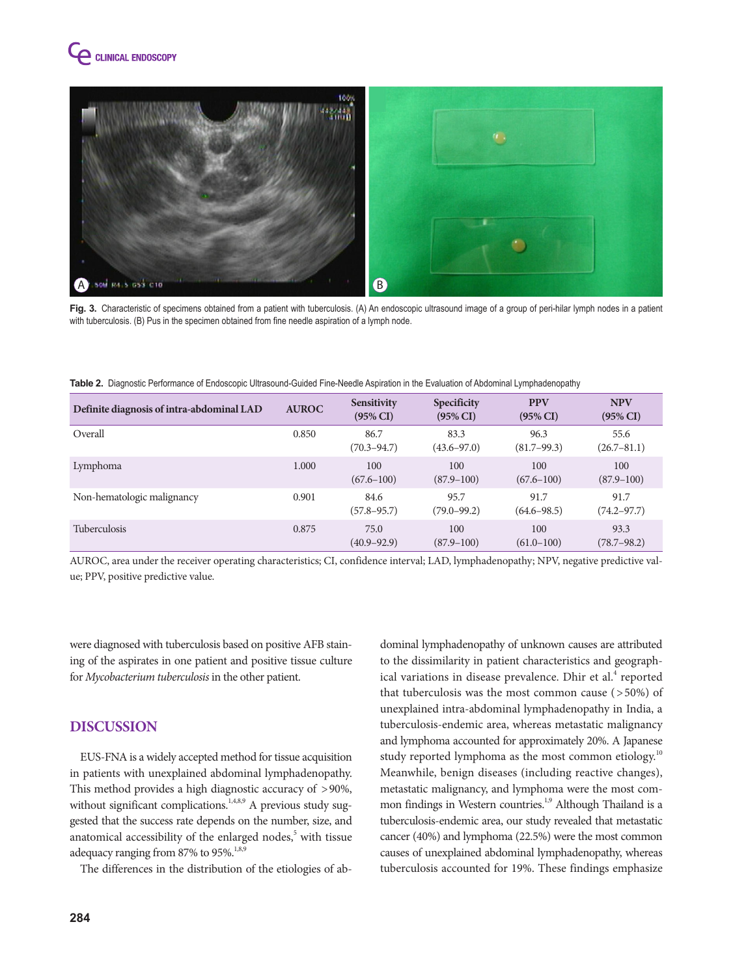



Fig. 3. Characteristic of specimens obtained from a patient with tuberculosis. (A) An endoscopic ultrasound image of a group of peri-hilar lymph nodes in a patient with tuberculosis. (B) Pus in the specimen obtained from fine needle aspiration of a lymph node.

| Table 2. Diagnostic Performance of Endoscopic Ultrasound-Guided Fine-Needle Aspiration in the Evaluation of Abdominal Lymphadenopathy |  |
|---------------------------------------------------------------------------------------------------------------------------------------|--|
|                                                                                                                                       |  |

| Definite diagnosis of intra-abdominal LAD | <b>AUROC</b> | <b>Sensitivity</b><br>$(95\% \text{ CI})$ | <b>Specificity</b><br>$(95\% \text{ CI})$ | <b>PPV</b><br>$(95\% \text{ CI})$ | <b>NPV</b><br>$(95\% \text{ CI})$ |
|-------------------------------------------|--------------|-------------------------------------------|-------------------------------------------|-----------------------------------|-----------------------------------|
| Overall                                   | 0.850        | 86.7<br>$(70.3 - 94.7)$                   | 83.3<br>$(43.6 - 97.0)$                   | 96.3<br>$(81.7 - 99.3)$           | 55.6<br>$(26.7 - 81.1)$           |
| Lymphoma                                  | 1.000        | 100<br>$(67.6 - 100)$                     | 100<br>$(87.9 - 100)$                     | 100<br>$(67.6 - 100)$             | 100<br>$(87.9 - 100)$             |
| Non-hematologic malignancy                | 0.901        | 84.6<br>(57.8–95.7)                       | 95.7<br>$(79.0 - 99.2)$                   | 91.7<br>$(64.6 - 98.5)$           | 91.7<br>$(74.2 - 97.7)$           |
| <b>Tuberculosis</b>                       | 0.875        | 75.0<br>$(40.9 - 92.9)$                   | 100<br>$(87.9 - 100)$                     | 100<br>$(61.0 - 100)$             | 93.3<br>$(78.7 - 98.2)$           |

AUROC, area under the receiver operating characteristics; CI, confidence interval; LAD, lymphadenopathy; NPV, negative predictive value; PPV, positive predictive value.

were diagnosed with tuberculosis based on positive AFB staining of the aspirates in one patient and positive tissue culture for *Mycobacterium tuberculosis* in the other patient.

# **DISCUSSION**

EUS-FNA is a widely accepted method for tissue acquisition in patients with unexplained abdominal lymphadenopathy. This method provides a high diagnostic accuracy of >90%, without significant complications.<sup>1,4,8,9</sup> A previous study suggested that the success rate depends on the number, size, and anatomical accessibility of the enlarged nodes,<sup>5</sup> with tissue adequacy ranging from 87% to 95%.<sup>1,8,9</sup>

The differences in the distribution of the etiologies of ab-

dominal lymphadenopathy of unknown causes are attributed to the dissimilarity in patient characteristics and geographical variations in disease prevalence. Dhir et al.<sup>4</sup> reported that tuberculosis was the most common cause  $($  >50%) of unexplained intra-abdominal lymphadenopathy in India, a tuberculosis-endemic area, whereas metastatic malignancy and lymphoma accounted for approximately 20%. A Japanese study reported lymphoma as the most common etiology.<sup>10</sup> Meanwhile, benign diseases (including reactive changes), metastatic malignancy, and lymphoma were the most common findings in Western countries.<sup>1,9</sup> Although Thailand is a tuberculosis-endemic area, our study revealed that metastatic cancer (40%) and lymphoma (22.5%) were the most common causes of unexplained abdominal lymphadenopathy, whereas tuberculosis accounted for 19%. These findings emphasize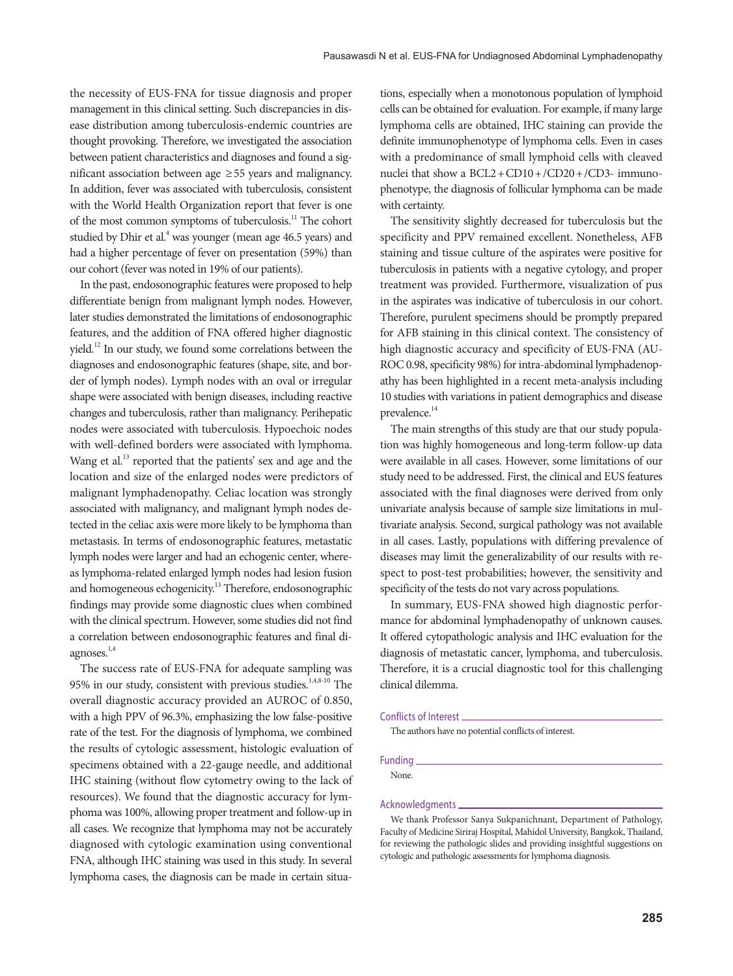the necessity of EUS-FNA for tissue diagnosis and proper management in this clinical setting. Such discrepancies in disease distribution among tuberculosis-endemic countries are thought provoking. Therefore, we investigated the association between patient characteristics and diagnoses and found a significant association between age ≥55 years and malignancy. In addition, fever was associated with tuberculosis, consistent with the World Health Organization report that fever is one of the most common symptoms of tuberculosis.11 The cohort studied by Dhir et al.<sup>4</sup> was younger (mean age 46.5 years) and had a higher percentage of fever on presentation (59%) than our cohort (fever was noted in 19% of our patients).

In the past, endosonographic features were proposed to help differentiate benign from malignant lymph nodes. However, later studies demonstrated the limitations of endosonographic features, and the addition of FNA offered higher diagnostic yield.12 In our study, we found some correlations between the diagnoses and endosonographic features (shape, site, and border of lymph nodes). Lymph nodes with an oval or irregular shape were associated with benign diseases, including reactive changes and tuberculosis, rather than malignancy. Perihepatic nodes were associated with tuberculosis. Hypoechoic nodes with well-defined borders were associated with lymphoma. Wang et al.<sup>13</sup> reported that the patients' sex and age and the location and size of the enlarged nodes were predictors of malignant lymphadenopathy. Celiac location was strongly associated with malignancy, and malignant lymph nodes detected in the celiac axis were more likely to be lymphoma than metastasis. In terms of endosonographic features, metastatic lymph nodes were larger and had an echogenic center, whereas lymphoma-related enlarged lymph nodes had lesion fusion and homogeneous echogenicity.<sup>13</sup> Therefore, endosonographic findings may provide some diagnostic clues when combined with the clinical spectrum. However, some studies did not find a correlation between endosonographic features and final diagnoses.1,4

The success rate of EUS-FNA for adequate sampling was 95% in our study, consistent with previous studies.<sup>1,4,8-10</sup> The overall diagnostic accuracy provided an AUROC of 0.850, with a high PPV of 96.3%, emphasizing the low false-positive rate of the test. For the diagnosis of lymphoma, we combined the results of cytologic assessment, histologic evaluation of specimens obtained with a 22-gauge needle, and additional IHC staining (without flow cytometry owing to the lack of resources). We found that the diagnostic accuracy for lymphoma was 100%, allowing proper treatment and follow-up in all cases. We recognize that lymphoma may not be accurately diagnosed with cytologic examination using conventional FNA, although IHC staining was used in this study. In several lymphoma cases, the diagnosis can be made in certain situa-

tions, especially when a monotonous population of lymphoid cells can be obtained for evaluation. For example, if many large lymphoma cells are obtained, IHC staining can provide the definite immunophenotype of lymphoma cells. Even in cases with a predominance of small lymphoid cells with cleaved nuclei that show a BCL2+CD10+/CD20+/CD3- immunophenotype, the diagnosis of follicular lymphoma can be made with certainty.

The sensitivity slightly decreased for tuberculosis but the specificity and PPV remained excellent. Nonetheless, AFB staining and tissue culture of the aspirates were positive for tuberculosis in patients with a negative cytology, and proper treatment was provided. Furthermore, visualization of pus in the aspirates was indicative of tuberculosis in our cohort. Therefore, purulent specimens should be promptly prepared for AFB staining in this clinical context. The consistency of high diagnostic accuracy and specificity of EUS-FNA (AU-ROC 0.98, specificity 98%) for intra-abdominal lymphadenopathy has been highlighted in a recent meta-analysis including 10 studies with variations in patient demographics and disease prevalence.<sup>14</sup>

The main strengths of this study are that our study population was highly homogeneous and long-term follow-up data were available in all cases. However, some limitations of our study need to be addressed. First, the clinical and EUS features associated with the final diagnoses were derived from only univariate analysis because of sample size limitations in multivariate analysis. Second, surgical pathology was not available in all cases. Lastly, populations with differing prevalence of diseases may limit the generalizability of our results with respect to post-test probabilities; however, the sensitivity and specificity of the tests do not vary across populations.

In summary, EUS-FNA showed high diagnostic performance for abdominal lymphadenopathy of unknown causes. It offered cytopathologic analysis and IHC evaluation for the diagnosis of metastatic cancer, lymphoma, and tuberculosis. Therefore, it is a crucial diagnostic tool for this challenging clinical dilemma.

#### Conflicts of Interest

The authors have no potential conflicts of interest.

Funding

None.

#### Acknowledgments

We thank Professor Sanya Sukpanichnant, Department of Pathology, Faculty of Medicine Siriraj Hospital, Mahidol University, Bangkok, Thailand, for reviewing the pathologic slides and providing insightful suggestions on cytologic and pathologic assessments for lymphoma diagnosis.